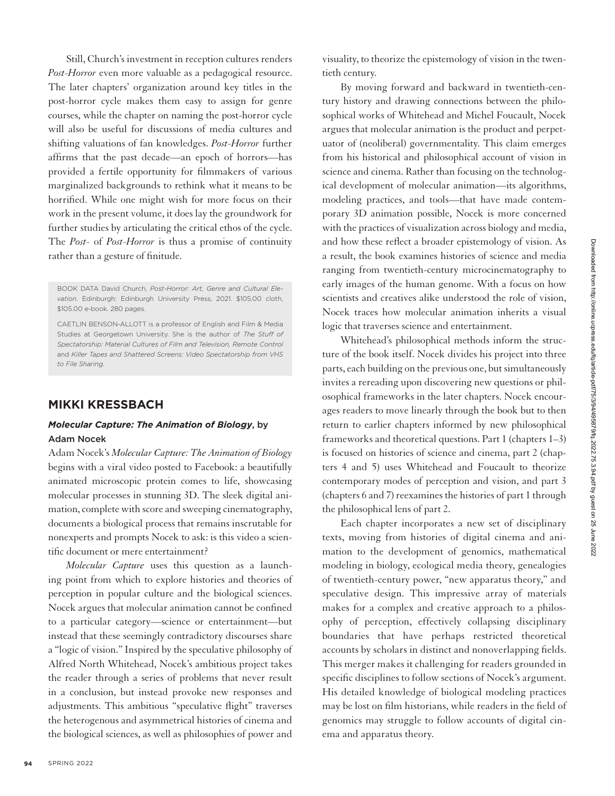Still, Church's investment in reception cultures renders *Post-Horror* even more valuable as a pedagogical resource. The later chapters' organization around key titles in the post-horror cycle makes them easy to assign for genre courses, while the chapter on naming the post-horror cycle will also be useful for discussions of media cultures and shifting valuations of fan knowledges. *Post-Horror* further affirms that the past decade—an epoch of horrors—has provided a fertile opportunity for filmmakers of various marginalized backgrounds to rethink what it means to be horrified. While one might wish for more focus on their work in the present volume, it does lay the groundwork for further studies by articulating the critical ethos of the cycle. The *Post-* of *Post-Horror* is thus a promise of continuity rather than a gesture of finitude.

BOOK DATA David Church, *Post-Horror: Art, Genre and Cultural Elevation*. Edinburgh: Edinburgh University Press, 2021. \$105.00 cloth, \$105.00 e-book. 280 pages.

CAETLIN BENSON-ALLOTT is a professor of English and Film & Media Studies at Georgetown University. She is the author of *The Stuff of Spectatorship: Material Cultures of Film and Television, Remote Control* and *Killer Tapes and Shattered Screens: Video Spectatorship from VHS to File Sharing*.

## **MIKKI KRESSBACH**

## *Molecular Capture: The Animation of Biology*, by Adam Nocek

Adam Nocek's *Molecular Capture: The Animation of Biology* begins with a viral video posted to Facebook: a beautifully animated microscopic protein comes to life, showcasing molecular processes in stunning 3D. The sleek digital animation, complete with score and sweeping cinematography, documents a biological process that remains inscrutable for nonexperts and prompts Nocek to ask: is this video a scientific document or mere entertainment?

*Molecular Capture* uses this question as a launching point from which to explore histories and theories of perception in popular culture and the biological sciences. Nocek argues that molecular animation cannot be confined to a particular category—science or entertainment—but instead that these seemingly contradictory discourses share a "logic of vision." Inspired by the speculative philosophy of Alfred North Whitehead, Nocek's ambitious project takes the reader through a series of problems that never result in a conclusion, but instead provoke new responses and adjustments. This ambitious "speculative flight" traverses the heterogenous and asymmetrical histories of cinema and the biological sciences, as well as philosophies of power and

visuality, to theorize the epistemology of vision in the twentieth century.

By moving forward and backward in twentieth-century history and drawing connections between the philosophical works of Whitehead and Michel Foucault, Nocek argues that molecular animation is the product and perpetuator of (neoliberal) governmentality. This claim emerges from his historical and philosophical account of vision in science and cinema. Rather than focusing on the technological development of molecular animation—its algorithms, modeling practices, and tools—that have made contemporary 3D animation possible, Nocek is more concerned with the practices of visualization across biology and media, and how these reflect a broader epistemology of vision. As a result, the book examines histories of science and media ranging from twentieth-century microcinematography to early images of the human genome. With a focus on how scientists and creatives alike understood the role of vision, Nocek traces how molecular animation inherits a visual logic that traverses science and entertainment.

Whitehead's philosophical methods inform the structure of the book itself. Nocek divides his project into three parts, each building on the previous one, but simultaneously invites a rereading upon discovering new questions or philosophical frameworks in the later chapters. Nocek encourages readers to move linearly through the book but to then return to earlier chapters informed by new philosophical frameworks and theoretical questions. Part 1 (chapters 1–3) is focused on histories of science and cinema, part 2 (chapters 4 and 5) uses Whitehead and Foucault to theorize contemporary modes of perception and vision, and part 3 (chapters 6 and 7) reexamines the histories of part 1 through the philosophical lens of part 2.

Each chapter incorporates a new set of disciplinary texts, moving from histories of digital cinema and animation to the development of genomics, mathematical modeling in biology, ecological media theory, genealogies of twentieth-century power, "new apparatus theory," and speculative design. This impressive array of materials makes for a complex and creative approach to a philosophy of perception, effectively collapsing disciplinary boundaries that have perhaps restricted theoretical accounts by scholars in distinct and nonoverlapping fields. This merger makes it challenging for readers grounded in specific disciplines to follow sections of Nocek's argument. His detailed knowledge of biological modeling practices may be lost on film historians, while readers in the field of genomics may struggle to follow accounts of digital cinema and apparatus theory.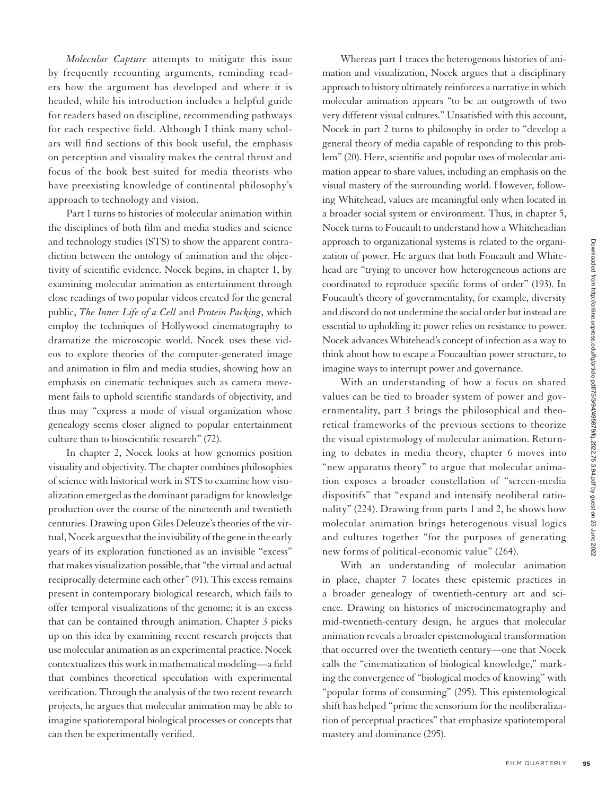*Molecular Capture* attempts to mitigate this issue by frequently recounting arguments, reminding readers how the argument has developed and where it is headed, while his introduction includes a helpful guide for readers based on discipline, recommending pathways for each respective field. Although I think many scholars will find sections of this book useful, the emphasis on perception and visuality makes the central thrust and focus of the book best suited for media theorists who have preexisting knowledge of continental philosophy's approach to technology and vision.

Part 1 turns to histories of molecular animation within the disciplines of both film and media studies and science and technology studies (STS) to show the apparent contradiction between the ontology of animation and the objectivity of scientific evidence. Nocek begins, in chapter 1, by examining molecular animation as entertainment through close readings of two popular videos created for the general public, *The Inner Life of a Cell* and *Protein Packing*, which employ the techniques of Hollywood cinematography to dramatize the microscopic world. Nocek uses these videos to explore theories of the computer-generated image and animation in film and media studies, showing how an emphasis on cinematic techniques such as camera movement fails to uphold scientific standards of objectivity, and thus may "express a mode of visual organization whose genealogy seems closer aligned to popular entertainment culture than to bioscientific research" (72).

In chapter 2, Nocek looks at how genomics position visuality and objectivity. The chapter combines philosophies of science with historical work in STS to examine how visualization emerged as the dominant paradigm for knowledge production over the course of the nineteenth and twentieth centuries. Drawing upon Giles Deleuze's theories of the virtual, Nocek argues that the invisibility of the gene in the early years of its exploration functioned as an invisible "excess" that makes visualization possible, that "the virtual and actual reciprocally determine each other" (91). This excess remains present in contemporary biological research, which fails to offer temporal visualizations of the genome; it is an excess that can be contained through animation. Chapter 3 picks up on this idea by examining recent research projects that use molecular animation as an experimental practice. Nocek contextualizes this work in mathematical modeling—a field that combines theoretical speculation with experimental verification. Through the analysis of the two recent research projects, he argues that molecular animation may be able to imagine spatiotemporal biological processes or concepts that can then be experimentally verified.

Whereas part 1 traces the heterogenous histories of animation and visualization, Nocek argues that a disciplinary approach to history ultimately reinforces a narrative in which molecular animation appears "to be an outgrowth of two very different visual cultures." Unsatisfied with this account, Nocek in part 2 turns to philosophy in order to "develop a general theory of media capable of responding to this problem" (20). Here, scientific and popular uses of molecular animation appear to share values, including an emphasis on the visual mastery of the surrounding world. However, following Whitehead, values are meaningful only when located in a broader social system or environment. Thus, in chapter 5, Nocek turns to Foucault to understand how a Whiteheadian approach to organizational systems is related to the organization of power. He argues that both Foucault and Whitehead are "trying to uncover how heterogeneous actions are coordinated to reproduce specific forms of order" (193). In Foucault's theory of governmentality, for example, diversity and discord do not undermine the social order but instead are essential to upholding it: power relies on resistance to power. Nocek advances Whitehead's concept of infection as a way to think about how to escape a Foucaultian power structure, to imagine ways to interrupt power and governance.

With an understanding of how a focus on shared values can be tied to broader system of power and governmentality, part 3 brings the philosophical and theoretical frameworks of the previous sections to theorize the visual epistemology of molecular animation. Returning to debates in media theory, chapter 6 moves into "new apparatus theory" to argue that molecular animation exposes a broader constellation of "screen-media dispositifs" that "expand and intensify neoliberal rationality" (224). Drawing from parts 1 and 2, he shows how molecular animation brings heterogenous visual logics and cultures together "for the purposes of generating new forms of political-economic value" (264).

With an understanding of molecular animation in place, chapter 7 locates these epistemic practices in a broader genealogy of twentieth-century art and science. Drawing on histories of microcinematography and mid-twentieth-century design, he argues that molecular animation reveals a broader epistemological transformation that occurred over the twentieth century—one that Nocek calls the "cinematization of biological knowledge," marking the convergence of "biological modes of knowing" with "popular forms of consuming" (295). This epistemological shift has helped "prime the sensorium for the neoliberalization of perceptual practices" that emphasize spatiotemporal mastery and dominance (295).